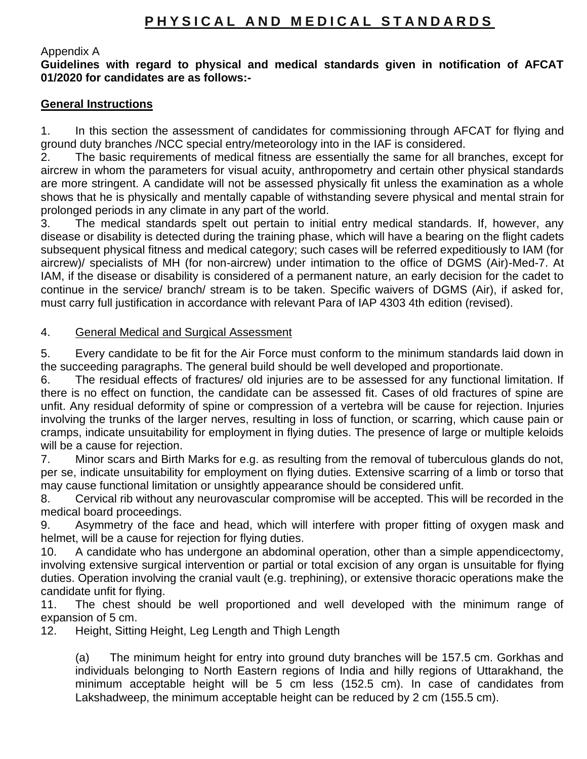## PHYSICAL AND MEDICAL STANDARDS

#### Appendix A

**Guidelines with regard to physical and medical standards given in notification of AFCAT 01/2020 for candidates are as follows:-**

#### **General Instructions**

1. In this section the assessment of candidates for commissioning through AFCAT for flying and ground duty branches /NCC special entry/meteorology into in the IAF is considered.

2. The basic requirements of medical fitness are essentially the same for all branches, except for aircrew in whom the parameters for visual acuity, anthropometry and certain other physical standards are more stringent. A candidate will not be assessed physically fit unless the examination as a whole shows that he is physically and mentally capable of withstanding severe physical and mental strain for prolonged periods in any climate in any part of the world.

3. The medical standards spelt out pertain to initial entry medical standards. If, however, any disease or disability is detected during the training phase, which will have a bearing on the flight cadets subsequent physical fitness and medical category; such cases will be referred expeditiously to IAM (for aircrew)/ specialists of MH (for non-aircrew) under intimation to the office of DGMS (Air)-Med-7. At IAM, if the disease or disability is considered of a permanent nature, an early decision for the cadet to continue in the service/ branch/ stream is to be taken. Specific waivers of DGMS (Air), if asked for, must carry full justification in accordance with relevant Para of IAP 4303 4th edition (revised).

#### 4. General Medical and Surgical Assessment

5. Every candidate to be fit for the Air Force must conform to the minimum standards laid down in the succeeding paragraphs. The general build should be well developed and proportionate.

6. The residual effects of fractures/ old injuries are to be assessed for any functional limitation. If there is no effect on function, the candidate can be assessed fit. Cases of old fractures of spine are unfit. Any residual deformity of spine or compression of a vertebra will be cause for rejection. Injuries involving the trunks of the larger nerves, resulting in loss of function, or scarring, which cause pain or cramps, indicate unsuitability for employment in flying duties. The presence of large or multiple keloids will be a cause for rejection.

7. Minor scars and Birth Marks for e.g. as resulting from the removal of tuberculous glands do not, per se, indicate unsuitability for employment on flying duties. Extensive scarring of a limb or torso that may cause functional limitation or unsightly appearance should be considered unfit.

8. Cervical rib without any neurovascular compromise will be accepted. This will be recorded in the medical board proceedings.

9. Asymmetry of the face and head, which will interfere with proper fitting of oxygen mask and helmet, will be a cause for rejection for flying duties.

10. A candidate who has undergone an abdominal operation, other than a simple appendicectomy, involving extensive surgical intervention or partial or total excision of any organ is unsuitable for flying duties. Operation involving the cranial vault (e.g. trephining), or extensive thoracic operations make the candidate unfit for flying.

11. The chest should be well proportioned and well developed with the minimum range of expansion of 5 cm.

12. Height, Sitting Height, Leg Length and Thigh Length

(a) The minimum height for entry into ground duty branches will be 157.5 cm. Gorkhas and individuals belonging to North Eastern regions of India and hilly regions of Uttarakhand, the minimum acceptable height will be 5 cm less (152.5 cm). In case of candidates from Lakshadweep, the minimum acceptable height can be reduced by 2 cm (155.5 cm).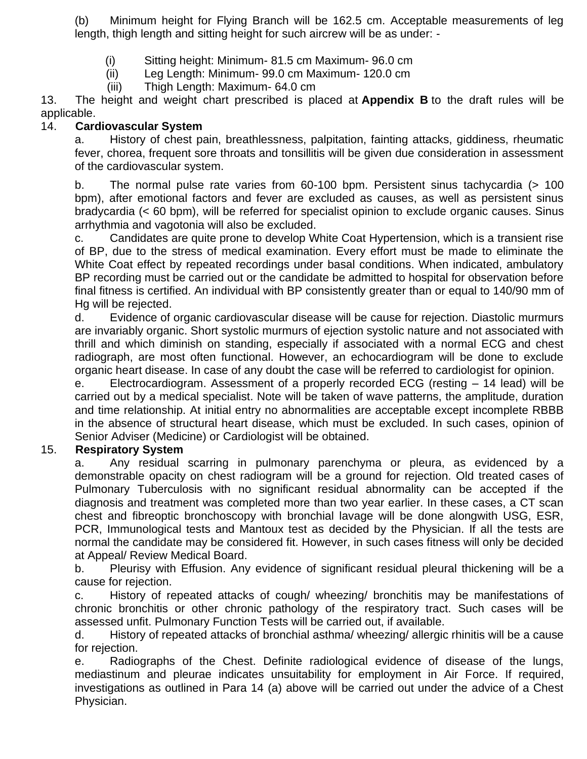(b) Minimum height for Flying Branch will be 162.5 cm. Acceptable measurements of leg length, thigh length and sitting height for such aircrew will be as under: -

- (i) Sitting height: Minimum- 81.5 cm Maximum- 96.0 cm
- (ii) Leg Length: Minimum- 99.0 cm Maximum- 120.0 cm
- (iii) Thigh Length: Maximum- 64.0 cm

13. The height and weight chart prescribed is placed at **Appendix B** to the draft rules will be applicable.

### 14. **Cardiovascular System**

a. History of chest pain, breathlessness, palpitation, fainting attacks, giddiness, rheumatic fever, chorea, frequent sore throats and tonsillitis will be given due consideration in assessment of the cardiovascular system.

b. The normal pulse rate varies from 60-100 bpm. Persistent sinus tachycardia (> 100 bpm), after emotional factors and fever are excluded as causes, as well as persistent sinus bradycardia (< 60 bpm), will be referred for specialist opinion to exclude organic causes. Sinus arrhythmia and vagotonia will also be excluded.

c. Candidates are quite prone to develop White Coat Hypertension, which is a transient rise of BP, due to the stress of medical examination. Every effort must be made to eliminate the White Coat effect by repeated recordings under basal conditions. When indicated, ambulatory BP recording must be carried out or the candidate be admitted to hospital for observation before final fitness is certified. An individual with BP consistently greater than or equal to 140/90 mm of Hg will be rejected.

d. Evidence of organic cardiovascular disease will be cause for rejection. Diastolic murmurs are invariably organic. Short systolic murmurs of ejection systolic nature and not associated with thrill and which diminish on standing, especially if associated with a normal ECG and chest radiograph, are most often functional. However, an echocardiogram will be done to exclude organic heart disease. In case of any doubt the case will be referred to cardiologist for opinion.

e. Electrocardiogram. Assessment of a properly recorded ECG (resting – 14 lead) will be carried out by a medical specialist. Note will be taken of wave patterns, the amplitude, duration and time relationship. At initial entry no abnormalities are acceptable except incomplete RBBB in the absence of structural heart disease, which must be excluded. In such cases, opinion of Senior Adviser (Medicine) or Cardiologist will be obtained.

## 15. **Respiratory System**

a. Any residual scarring in pulmonary parenchyma or pleura, as evidenced by a demonstrable opacity on chest radiogram will be a ground for rejection. Old treated cases of Pulmonary Tuberculosis with no significant residual abnormality can be accepted if the diagnosis and treatment was completed more than two year earlier. In these cases, a CT scan chest and fibreoptic bronchoscopy with bronchial lavage will be done alongwith USG, ESR, PCR, Immunological tests and Mantoux test as decided by the Physician. If all the tests are normal the candidate may be considered fit. However, in such cases fitness will only be decided at Appeal/ Review Medical Board.

b. Pleurisy with Effusion. Any evidence of significant residual pleural thickening will be a cause for rejection.

c. History of repeated attacks of cough/ wheezing/ bronchitis may be manifestations of chronic bronchitis or other chronic pathology of the respiratory tract. Such cases will be assessed unfit. Pulmonary Function Tests will be carried out, if available.

d. History of repeated attacks of bronchial asthma/ wheezing/ allergic rhinitis will be a cause for rejection.

e. Radiographs of the Chest. Definite radiological evidence of disease of the lungs, mediastinum and pleurae indicates unsuitability for employment in Air Force. If required, investigations as outlined in Para 14 (a) above will be carried out under the advice of a Chest Physician.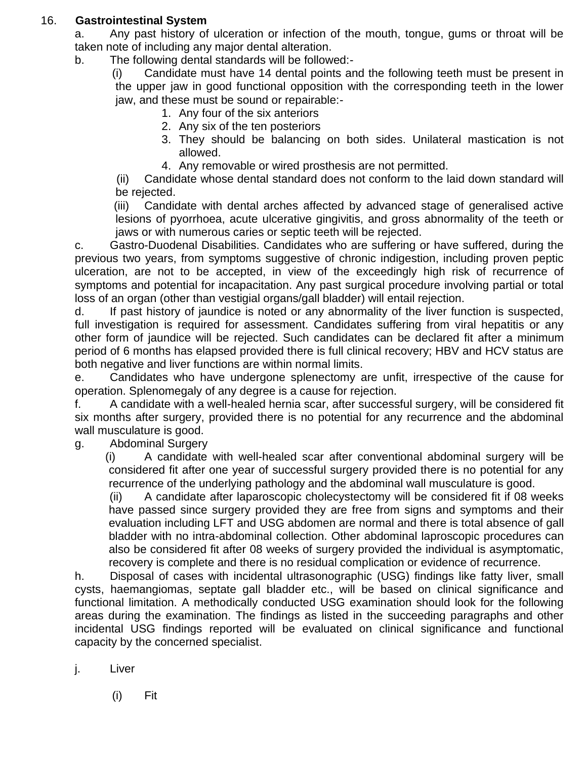## 16. **Gastrointestinal System**

- a. Any past history of ulceration or infection of the mouth, tongue, gums or throat will be taken note of including any major dental alteration.
- b. The following dental standards will be followed:-

(i) Candidate must have 14 dental points and the following teeth must be present in the upper jaw in good functional opposition with the corresponding teeth in the lower jaw, and these must be sound or repairable:-

- 1. Any four of the six anteriors
- 2. Any six of the ten posteriors
- 3. They should be balancing on both sides. Unilateral mastication is not allowed.
- 4. Any removable or wired prosthesis are not permitted.

(ii) Candidate whose dental standard does not conform to the laid down standard will be rejected.

(iii) Candidate with dental arches affected by advanced stage of generalised active lesions of pyorrhoea, acute ulcerative gingivitis, and gross abnormality of the teeth or jaws or with numerous caries or septic teeth will be rejected.

c. Gastro-Duodenal Disabilities. Candidates who are suffering or have suffered, during the previous two years, from symptoms suggestive of chronic indigestion, including proven peptic ulceration, are not to be accepted, in view of the exceedingly high risk of recurrence of symptoms and potential for incapacitation. Any past surgical procedure involving partial or total loss of an organ (other than vestigial organs/gall bladder) will entail rejection.

d. If past history of jaundice is noted or any abnormality of the liver function is suspected, full investigation is required for assessment. Candidates suffering from viral hepatitis or any other form of jaundice will be rejected. Such candidates can be declared fit after a minimum period of 6 months has elapsed provided there is full clinical recovery; HBV and HCV status are both negative and liver functions are within normal limits.

e. Candidates who have undergone splenectomy are unfit, irrespective of the cause for operation. Splenomegaly of any degree is a cause for rejection.

f. A candidate with a well-healed hernia scar, after successful surgery, will be considered fit six months after surgery, provided there is no potential for any recurrence and the abdominal wall musculature is good.

g. Abdominal Surgery

(i) A candidate with well-healed scar after conventional abdominal surgery will be considered fit after one year of successful surgery provided there is no potential for any recurrence of the underlying pathology and the abdominal wall musculature is good.

(ii) A candidate after laparoscopic cholecystectomy will be considered fit if 08 weeks have passed since surgery provided they are free from signs and symptoms and their evaluation including LFT and USG abdomen are normal and there is total absence of gall bladder with no intra-abdominal collection. Other abdominal laproscopic procedures can also be considered fit after 08 weeks of surgery provided the individual is asymptomatic, recovery is complete and there is no residual complication or evidence of recurrence.

h. Disposal of cases with incidental ultrasonographic (USG) findings like fatty liver, small cysts, haemangiomas, septate gall bladder etc., will be based on clinical significance and functional limitation. A methodically conducted USG examination should look for the following areas during the examination. The findings as listed in the succeeding paragraphs and other incidental USG findings reported will be evaluated on clinical significance and functional capacity by the concerned specialist.

j. Liver

(i) Fit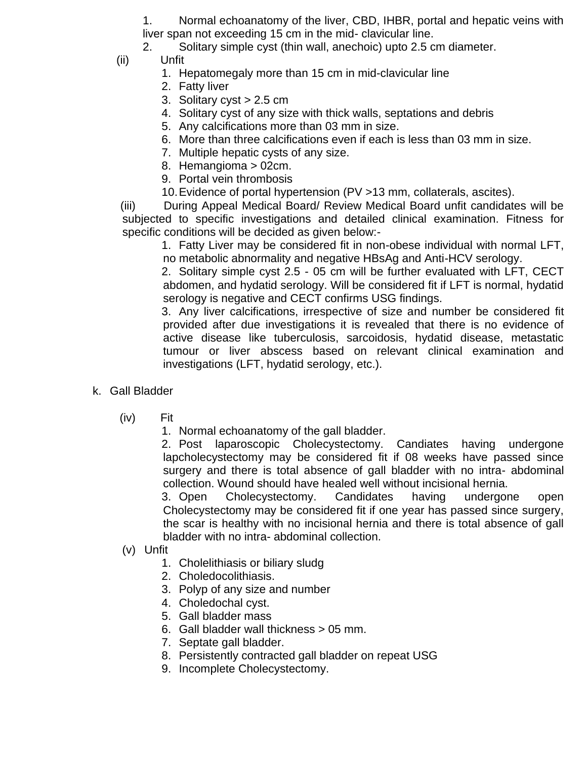1. Normal echoanatomy of the liver, CBD, IHBR, portal and hepatic veins with liver span not exceeding 15 cm in the mid- clavicular line.

2. Solitary simple cyst (thin wall, anechoic) upto 2.5 cm diameter.

- (ii) Unfit
	- 1. Hepatomegaly more than 15 cm in mid-clavicular line
	- 2. Fatty liver
	- 3. Solitary cyst > 2.5 cm
	- 4. Solitary cyst of any size with thick walls, septations and debris
	- 5. Any calcifications more than 03 mm in size.
	- 6. More than three calcifications even if each is less than 03 mm in size.
	- 7. Multiple hepatic cysts of any size.
	- 8. Hemangioma > 02cm.
	- 9. Portal vein thrombosis
	- 10.Evidence of portal hypertension (PV >13 mm, collaterals, ascites).

(iii) During Appeal Medical Board/ Review Medical Board unfit candidates will be subjected to specific investigations and detailed clinical examination. Fitness for specific conditions will be decided as given below:-

1. Fatty Liver may be considered fit in non-obese individual with normal LFT, no metabolic abnormality and negative HBsAg and Anti-HCV serology.

2. Solitary simple cyst 2.5 - 05 cm will be further evaluated with LFT, CECT abdomen, and hydatid serology. Will be considered fit if LFT is normal, hydatid serology is negative and CECT confirms USG findings.

3. Any liver calcifications, irrespective of size and number be considered fit provided after due investigations it is revealed that there is no evidence of active disease like tuberculosis, sarcoidosis, hydatid disease, metastatic tumour or liver abscess based on relevant clinical examination and investigations (LFT, hydatid serology, etc.).

- k. Gall Bladder
	- (iv) Fit

1. Normal echoanatomy of the gall bladder.

2. Post laparoscopic Cholecystectomy. Candiates having undergone lapcholecystectomy may be considered fit if 08 weeks have passed since surgery and there is total absence of gall bladder with no intra- abdominal collection. Wound should have healed well without incisional hernia.

3. Open Cholecystectomy. Candidates having undergone open Cholecystectomy may be considered fit if one year has passed since surgery, the scar is healthy with no incisional hernia and there is total absence of gall bladder with no intra- abdominal collection.

- (v) Unfit
	- 1. Cholelithiasis or biliary sludg
	- 2. Choledocolithiasis.
	- 3. Polyp of any size and number
	- 4. Choledochal cyst.
	- 5. Gall bladder mass
	- 6. Gall bladder wall thickness > 05 mm.
	- 7. Septate gall bladder.
	- 8. Persistently contracted gall bladder on repeat USG
	- 9. Incomplete Cholecystectomy.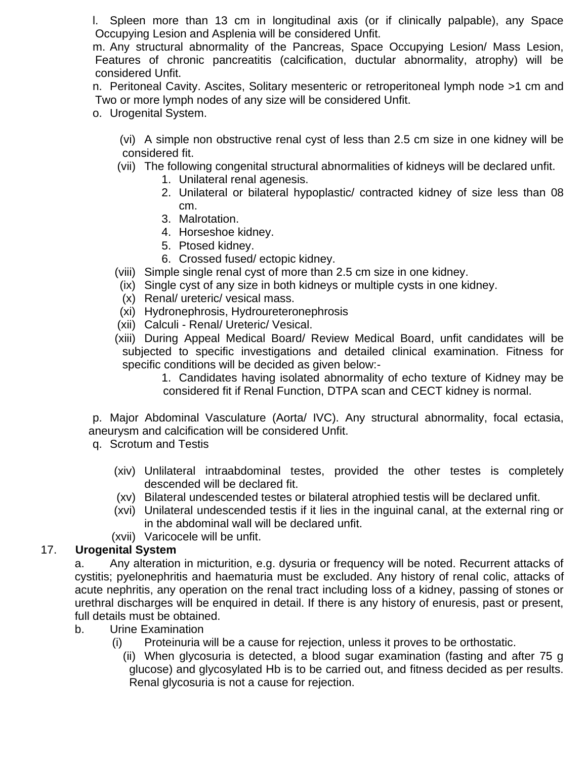l. Spleen more than 13 cm in longitudinal axis (or if clinically palpable), any Space Occupying Lesion and Asplenia will be considered Unfit.

m. Any structural abnormality of the Pancreas, Space Occupying Lesion/ Mass Lesion, Features of chronic pancreatitis (calcification, ductular abnormality, atrophy) will be considered Unfit.

n. Peritoneal Cavity. Ascites, Solitary mesenteric or retroperitoneal lymph node >1 cm and Two or more lymph nodes of any size will be considered Unfit.

o. Urogenital System.

(vi) A simple non obstructive renal cyst of less than 2.5 cm size in one kidney will be considered fit.

- (vii) The following congenital structural abnormalities of kidneys will be declared unfit.
	- 1. Unilateral renal agenesis.
	- 2. Unilateral or bilateral hypoplastic/ contracted kidney of size less than 08 cm.
	- 3. Malrotation.
	- 4. Horseshoe kidney.
	- 5. Ptosed kidney.
	- 6. Crossed fused/ ectopic kidney.
- (viii) Simple single renal cyst of more than 2.5 cm size in one kidney.
- (ix) Single cyst of any size in both kidneys or multiple cysts in one kidney.
- (x) Renal/ ureteric/ vesical mass.
- (xi) Hydronephrosis, Hydroureteronephrosis
- (xii) Calculi Renal/ Ureteric/ Vesical.
- (xiii) During Appeal Medical Board/ Review Medical Board, unfit candidates will be subjected to specific investigations and detailed clinical examination. Fitness for specific conditions will be decided as given below:-

1. Candidates having isolated abnormality of echo texture of Kidney may be considered fit if Renal Function, DTPA scan and CECT kidney is normal.

p. Major Abdominal Vasculature (Aorta/ IVC). Any structural abnormality, focal ectasia, aneurysm and calcification will be considered Unfit.

- q. Scrotum and Testis
	- (xiv) Unlilateral intraabdominal testes, provided the other testes is completely descended will be declared fit.
	- (xv) Bilateral undescended testes or bilateral atrophied testis will be declared unfit.
	- (xvi) Unilateral undescended testis if it lies in the inguinal canal, at the external ring or in the abdominal wall will be declared unfit.
	- (xvii) Varicocele will be unfit.

## 17. **Urogenital System**

a. Any alteration in micturition, e.g. dysuria or frequency will be noted. Recurrent attacks of cystitis; pyelonephritis and haematuria must be excluded. Any history of renal colic, attacks of acute nephritis, any operation on the renal tract including loss of a kidney, passing of stones or urethral discharges will be enquired in detail. If there is any history of enuresis, past or present, full details must be obtained.

- b. Urine Examination
	- (i) Proteinuria will be a cause for rejection, unless it proves to be orthostatic.
		- (ii) When glycosuria is detected, a blood sugar examination (fasting and after 75 g glucose) and glycosylated Hb is to be carried out, and fitness decided as per results. Renal glycosuria is not a cause for rejection.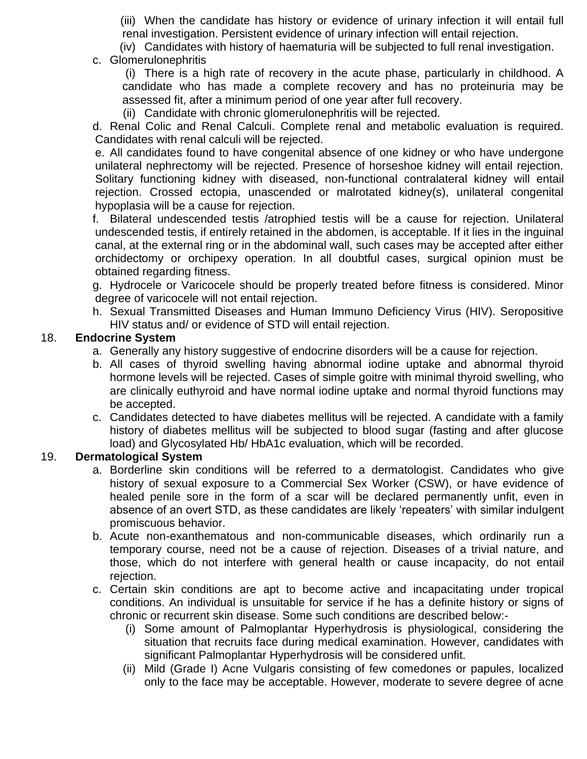(iii) When the candidate has history or evidence of urinary infection it will entail full renal investigation. Persistent evidence of urinary infection will entail rejection.

(iv) Candidates with history of haematuria will be subjected to full renal investigation.

c. Glomerulonephritis

(i) There is a high rate of recovery in the acute phase, particularly in childhood. A candidate who has made a complete recovery and has no proteinuria may be assessed fit, after a minimum period of one year after full recovery.

(ii) Candidate with chronic glomerulonephritis will be rejected.

d. Renal Colic and Renal Calculi. Complete renal and metabolic evaluation is required. Candidates with renal calculi will be rejected.

e. All candidates found to have congenital absence of one kidney or who have undergone unilateral nephrectomy will be rejected. Presence of horseshoe kidney will entail rejection. Solitary functioning kidney with diseased, non-functional contralateral kidney will entail rejection. Crossed ectopia, unascended or malrotated kidney(s), unilateral congenital hypoplasia will be a cause for rejection.

f. Bilateral undescended testis /atrophied testis will be a cause for rejection. Unilateral undescended testis, if entirely retained in the abdomen, is acceptable. If it lies in the inguinal canal, at the external ring or in the abdominal wall, such cases may be accepted after either orchidectomy or orchipexy operation. In all doubtful cases, surgical opinion must be obtained regarding fitness.

g. Hydrocele or Varicocele should be properly treated before fitness is considered. Minor degree of varicocele will not entail rejection.

h. Sexual Transmitted Diseases and Human Immuno Deficiency Virus (HIV). Seropositive HIV status and/ or evidence of STD will entail rejection.

#### 18. **Endocrine System**

- a. Generally any history suggestive of endocrine disorders will be a cause for rejection.
- b. All cases of thyroid swelling having abnormal iodine uptake and abnormal thyroid hormone levels will be rejected. Cases of simple goitre with minimal thyroid swelling, who are clinically euthyroid and have normal iodine uptake and normal thyroid functions may be accepted.
- c. Candidates detected to have diabetes mellitus will be rejected. A candidate with a family history of diabetes mellitus will be subjected to blood sugar (fasting and after glucose load) and Glycosylated Hb/ HbA1c evaluation, which will be recorded.

## 19. **Dermatological System**

- a. Borderline skin conditions will be referred to a dermatologist. Candidates who give history of sexual exposure to a Commercial Sex Worker (CSW), or have evidence of healed penile sore in the form of a scar will be declared permanently unfit, even in absence of an overt STD, as these candidates are likely 'repeaters' with similar indulgent promiscuous behavior.
- b. Acute non-exanthematous and non-communicable diseases, which ordinarily run a temporary course, need not be a cause of rejection. Diseases of a trivial nature, and those, which do not interfere with general health or cause incapacity, do not entail rejection.
- c. Certain skin conditions are apt to become active and incapacitating under tropical conditions. An individual is unsuitable for service if he has a definite history or signs of chronic or recurrent skin disease. Some such conditions are described below:-
	- (i) Some amount of Palmoplantar Hyperhydrosis is physiological, considering the situation that recruits face during medical examination. However, candidates with significant Palmoplantar Hyperhydrosis will be considered unfit.
	- (ii) Mild (Grade I) Acne Vulgaris consisting of few comedones or papules, localized only to the face may be acceptable. However, moderate to severe degree of acne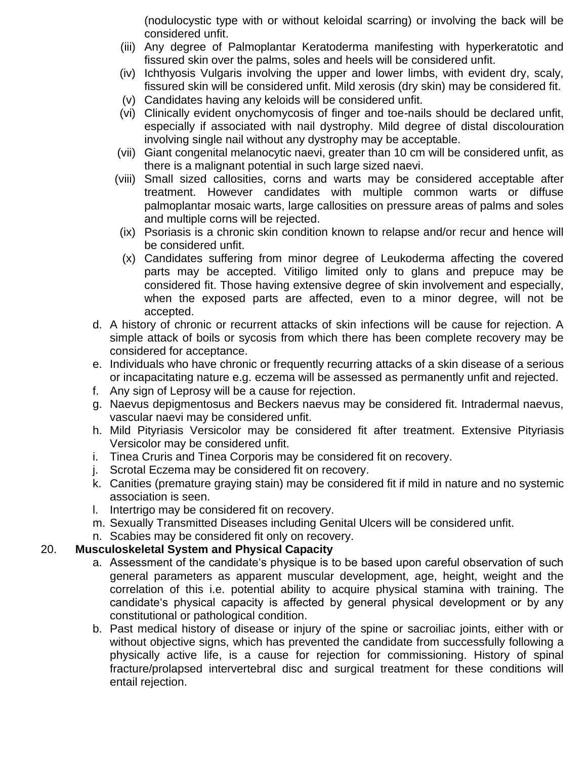(nodulocystic type with or without keloidal scarring) or involving the back will be considered unfit.

- (iii) Any degree of Palmoplantar Keratoderma manifesting with hyperkeratotic and fissured skin over the palms, soles and heels will be considered unfit.
- (iv) Ichthyosis Vulgaris involving the upper and lower limbs, with evident dry, scaly, fissured skin will be considered unfit. Mild xerosis (dry skin) may be considered fit.
- (v) Candidates having any keloids will be considered unfit.
- (vi) Clinically evident onychomycosis of finger and toe-nails should be declared unfit, especially if associated with nail dystrophy. Mild degree of distal discolouration involving single nail without any dystrophy may be acceptable.
- (vii) Giant congenital melanocytic naevi, greater than 10 cm will be considered unfit, as there is a malignant potential in such large sized naevi.
- (viii) Small sized callosities, corns and warts may be considered acceptable after treatment. However candidates with multiple common warts or diffuse palmoplantar mosaic warts, large callosities on pressure areas of palms and soles and multiple corns will be rejected.
- (ix) Psoriasis is a chronic skin condition known to relapse and/or recur and hence will be considered unfit.
- (x) Candidates suffering from minor degree of Leukoderma affecting the covered parts may be accepted. Vitiligo limited only to glans and prepuce may be considered fit. Those having extensive degree of skin involvement and especially, when the exposed parts are affected, even to a minor degree, will not be accepted.
- d. A history of chronic or recurrent attacks of skin infections will be cause for rejection. A simple attack of boils or sycosis from which there has been complete recovery may be considered for acceptance.
- e. Individuals who have chronic or frequently recurring attacks of a skin disease of a serious or incapacitating nature e.g. eczema will be assessed as permanently unfit and rejected.
- f. Any sign of Leprosy will be a cause for rejection.
- g. Naevus depigmentosus and Beckers naevus may be considered fit. Intradermal naevus, vascular naevi may be considered unfit.
- h. Mild Pityriasis Versicolor may be considered fit after treatment. Extensive Pityriasis Versicolor may be considered unfit.
- i. Tinea Cruris and Tinea Corporis may be considered fit on recovery.
- j. Scrotal Eczema may be considered fit on recovery.
- k. Canities (premature graying stain) may be considered fit if mild in nature and no systemic association is seen.
- l. Intertrigo may be considered fit on recovery.
- m. Sexually Transmitted Diseases including Genital Ulcers will be considered unfit.
- n. Scabies may be considered fit only on recovery.

## 20. **Musculoskeletal System and Physical Capacity**

- a. Assessment of the candidate's physique is to be based upon careful observation of such general parameters as apparent muscular development, age, height, weight and the correlation of this i.e. potential ability to acquire physical stamina with training. The candidate's physical capacity is affected by general physical development or by any constitutional or pathological condition.
- b. Past medical history of disease or injury of the spine or sacroiliac joints, either with or without objective signs, which has prevented the candidate from successfully following a physically active life, is a cause for rejection for commissioning. History of spinal fracture/prolapsed intervertebral disc and surgical treatment for these conditions will entail rejection.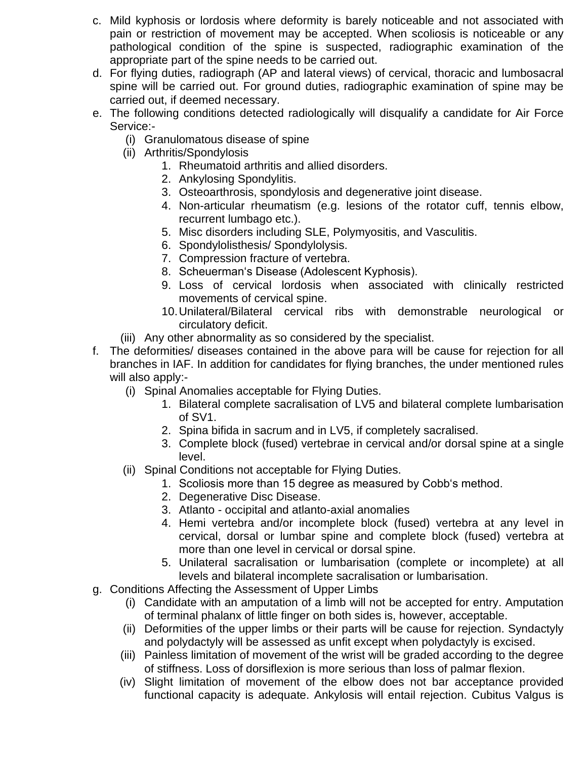- c. Mild kyphosis or lordosis where deformity is barely noticeable and not associated with pain or restriction of movement may be accepted. When scoliosis is noticeable or any pathological condition of the spine is suspected, radiographic examination of the appropriate part of the spine needs to be carried out.
- d. For flying duties, radiograph (AP and lateral views) of cervical, thoracic and lumbosacral spine will be carried out. For ground duties, radiographic examination of spine may be carried out, if deemed necessary.
- e. The following conditions detected radiologically will disqualify a candidate for Air Force Service:-
	- (i) Granulomatous disease of spine
	- (ii) Arthritis/Spondylosis
		- 1. Rheumatoid arthritis and allied disorders.
		- 2. Ankylosing Spondylitis.
		- 3. Osteoarthrosis, spondylosis and degenerative joint disease.
		- 4. Non-articular rheumatism (e.g. lesions of the rotator cuff, tennis elbow, recurrent lumbago etc.).
		- 5. Misc disorders including SLE, Polymyositis, and Vasculitis.
		- 6. Spondylolisthesis/ Spondylolysis.
		- 7. Compression fracture of vertebra.
		- 8. Scheuerman's Disease (Adolescent Kyphosis).
		- 9. Loss of cervical lordosis when associated with clinically restricted movements of cervical spine.
		- 10.Unilateral/Bilateral cervical ribs with demonstrable neurological or circulatory deficit.
	- (iii) Any other abnormality as so considered by the specialist.
- f. The deformities/ diseases contained in the above para will be cause for rejection for all branches in IAF. In addition for candidates for flying branches, the under mentioned rules will also apply:-
	- (i) Spinal Anomalies acceptable for Flying Duties.
		- 1. Bilateral complete sacralisation of LV5 and bilateral complete lumbarisation of SV1.
		- 2. Spina bifida in sacrum and in LV5, if completely sacralised.
		- 3. Complete block (fused) vertebrae in cervical and/or dorsal spine at a single level.
	- (ii) Spinal Conditions not acceptable for Flying Duties.
		- 1. Scoliosis more than 15 degree as measured by Cobb's method.
		- 2. Degenerative Disc Disease.
		- 3. Atlanto occipital and atlanto-axial anomalies
		- 4. Hemi vertebra and/or incomplete block (fused) vertebra at any level in cervical, dorsal or lumbar spine and complete block (fused) vertebra at more than one level in cervical or dorsal spine.
		- 5. Unilateral sacralisation or lumbarisation (complete or incomplete) at all levels and bilateral incomplete sacralisation or lumbarisation.
- g. Conditions Affecting the Assessment of Upper Limbs
	- (i) Candidate with an amputation of a limb will not be accepted for entry. Amputation of terminal phalanx of little finger on both sides is, however, acceptable.
	- (ii) Deformities of the upper limbs or their parts will be cause for rejection. Syndactyly and polydactyly will be assessed as unfit except when polydactyly is excised.
	- (iii) Painless limitation of movement of the wrist will be graded according to the degree of stiffness. Loss of dorsiflexion is more serious than loss of palmar flexion.
	- (iv) Slight limitation of movement of the elbow does not bar acceptance provided functional capacity is adequate. Ankylosis will entail rejection. Cubitus Valgus is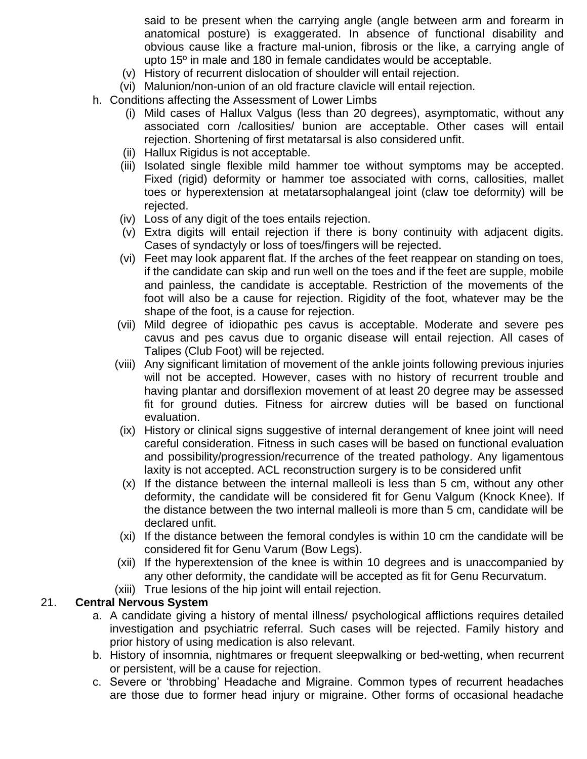said to be present when the carrying angle (angle between arm and forearm in anatomical posture) is exaggerated. In absence of functional disability and obvious cause like a fracture mal-union, fibrosis or the like, a carrying angle of upto 15º in male and 180 in female candidates would be acceptable.

- (v) History of recurrent dislocation of shoulder will entail rejection.
- (vi) Malunion/non-union of an old fracture clavicle will entail rejection.
- h. Conditions affecting the Assessment of Lower Limbs
	- (i) Mild cases of Hallux Valgus (less than 20 degrees), asymptomatic, without any associated corn /callosities/ bunion are acceptable. Other cases will entail rejection. Shortening of first metatarsal is also considered unfit.
	- (ii) Hallux Rigidus is not acceptable.
	- (iii) Isolated single flexible mild hammer toe without symptoms may be accepted. Fixed (rigid) deformity or hammer toe associated with corns, callosities, mallet toes or hyperextension at metatarsophalangeal joint (claw toe deformity) will be rejected.
	- (iv) Loss of any digit of the toes entails rejection.
	- (v) Extra digits will entail rejection if there is bony continuity with adjacent digits. Cases of syndactyly or loss of toes/fingers will be rejected.
	- (vi) Feet may look apparent flat. If the arches of the feet reappear on standing on toes, if the candidate can skip and run well on the toes and if the feet are supple, mobile and painless, the candidate is acceptable. Restriction of the movements of the foot will also be a cause for rejection. Rigidity of the foot, whatever may be the shape of the foot, is a cause for rejection.
	- (vii) Mild degree of idiopathic pes cavus is acceptable. Moderate and severe pes cavus and pes cavus due to organic disease will entail rejection. All cases of Talipes (Club Foot) will be rejected.
	- (viii) Any significant limitation of movement of the ankle joints following previous injuries will not be accepted. However, cases with no history of recurrent trouble and having plantar and dorsiflexion movement of at least 20 degree may be assessed fit for ground duties. Fitness for aircrew duties will be based on functional evaluation.
	- (ix) History or clinical signs suggestive of internal derangement of knee joint will need careful consideration. Fitness in such cases will be based on functional evaluation and possibility/progression/recurrence of the treated pathology. Any ligamentous laxity is not accepted. ACL reconstruction surgery is to be considered unfit
	- (x) If the distance between the internal malleoli is less than 5 cm, without any other deformity, the candidate will be considered fit for Genu Valgum (Knock Knee). If the distance between the two internal malleoli is more than 5 cm, candidate will be declared unfit.
	- (xi) If the distance between the femoral condyles is within 10 cm the candidate will be considered fit for Genu Varum (Bow Legs).
	- (xii) If the hyperextension of the knee is within 10 degrees and is unaccompanied by any other deformity, the candidate will be accepted as fit for Genu Recurvatum.
	- (xiii) True lesions of the hip joint will entail rejection.

#### 21. **Central Nervous System**

- a. A candidate giving a history of mental illness/ psychological afflictions requires detailed investigation and psychiatric referral. Such cases will be rejected. Family history and prior history of using medication is also relevant.
- b. History of insomnia, nightmares or frequent sleepwalking or bed-wetting, when recurrent or persistent, will be a cause for rejection.
- c. Severe or 'throbbing' Headache and Migraine. Common types of recurrent headaches are those due to former head injury or migraine. Other forms of occasional headache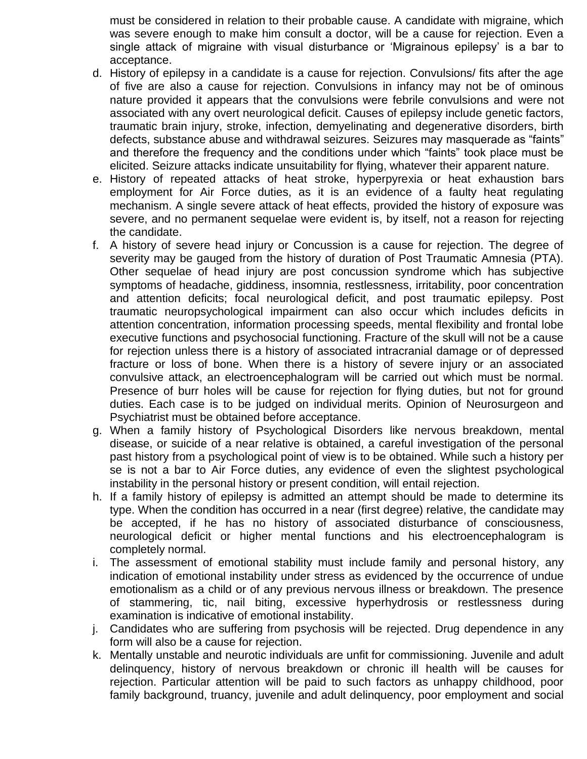must be considered in relation to their probable cause. A candidate with migraine, which was severe enough to make him consult a doctor, will be a cause for rejection. Even a single attack of migraine with visual disturbance or 'Migrainous epilepsy' is a bar to acceptance.

- d. History of epilepsy in a candidate is a cause for rejection. Convulsions/ fits after the age of five are also a cause for rejection. Convulsions in infancy may not be of ominous nature provided it appears that the convulsions were febrile convulsions and were not associated with any overt neurological deficit. Causes of epilepsy include genetic factors, traumatic brain injury, stroke, infection, demyelinating and degenerative disorders, birth defects, substance abuse and withdrawal seizures. Seizures may masquerade as "faints" and therefore the frequency and the conditions under which "faints" took place must be elicited. Seizure attacks indicate unsuitability for flying, whatever their apparent nature.
- e. History of repeated attacks of heat stroke, hyperpyrexia or heat exhaustion bars employment for Air Force duties, as it is an evidence of a faulty heat regulating mechanism. A single severe attack of heat effects, provided the history of exposure was severe, and no permanent sequelae were evident is, by itself, not a reason for rejecting the candidate.
- f. A history of severe head injury or Concussion is a cause for rejection. The degree of severity may be gauged from the history of duration of Post Traumatic Amnesia (PTA). Other sequelae of head injury are post concussion syndrome which has subjective symptoms of headache, giddiness, insomnia, restlessness, irritability, poor concentration and attention deficits; focal neurological deficit, and post traumatic epilepsy. Post traumatic neuropsychological impairment can also occur which includes deficits in attention concentration, information processing speeds, mental flexibility and frontal lobe executive functions and psychosocial functioning. Fracture of the skull will not be a cause for rejection unless there is a history of associated intracranial damage or of depressed fracture or loss of bone. When there is a history of severe injury or an associated convulsive attack, an electroencephalogram will be carried out which must be normal. Presence of burr holes will be cause for rejection for flying duties, but not for ground duties. Each case is to be judged on individual merits. Opinion of Neurosurgeon and Psychiatrist must be obtained before acceptance.
- g. When a family history of Psychological Disorders like nervous breakdown, mental disease, or suicide of a near relative is obtained, a careful investigation of the personal past history from a psychological point of view is to be obtained. While such a history per se is not a bar to Air Force duties, any evidence of even the slightest psychological instability in the personal history or present condition, will entail rejection.
- h. If a family history of epilepsy is admitted an attempt should be made to determine its type. When the condition has occurred in a near (first degree) relative, the candidate may be accepted, if he has no history of associated disturbance of consciousness, neurological deficit or higher mental functions and his electroencephalogram is completely normal.
- i. The assessment of emotional stability must include family and personal history, any indication of emotional instability under stress as evidenced by the occurrence of undue emotionalism as a child or of any previous nervous illness or breakdown. The presence of stammering, tic, nail biting, excessive hyperhydrosis or restlessness during examination is indicative of emotional instability.
- j. Candidates who are suffering from psychosis will be rejected. Drug dependence in any form will also be a cause for rejection.
- k. Mentally unstable and neurotic individuals are unfit for commissioning. Juvenile and adult delinquency, history of nervous breakdown or chronic ill health will be causes for rejection. Particular attention will be paid to such factors as unhappy childhood, poor family background, truancy, juvenile and adult delinquency, poor employment and social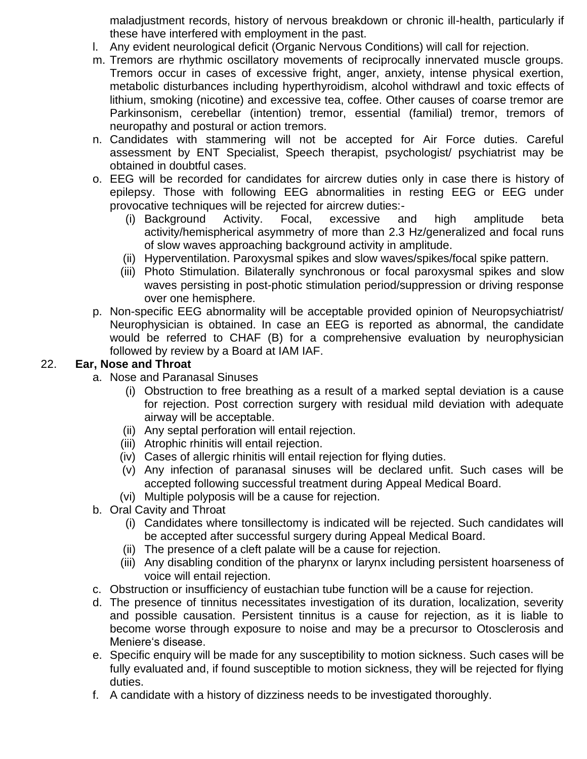maladjustment records, history of nervous breakdown or chronic ill-health, particularly if these have interfered with employment in the past.

- l. Any evident neurological deficit (Organic Nervous Conditions) will call for rejection.
- m. Tremors are rhythmic oscillatory movements of reciprocally innervated muscle groups. Tremors occur in cases of excessive fright, anger, anxiety, intense physical exertion, metabolic disturbances including hyperthyroidism, alcohol withdrawl and toxic effects of lithium, smoking (nicotine) and excessive tea, coffee. Other causes of coarse tremor are Parkinsonism, cerebellar (intention) tremor, essential (familial) tremor, tremors of neuropathy and postural or action tremors.
- n. Candidates with stammering will not be accepted for Air Force duties. Careful assessment by ENT Specialist, Speech therapist, psychologist/ psychiatrist may be obtained in doubtful cases.
- o. EEG will be recorded for candidates for aircrew duties only in case there is history of epilepsy. Those with following EEG abnormalities in resting EEG or EEG under provocative techniques will be rejected for aircrew duties:-
	- (i) Background Activity. Focal, excessive and high amplitude beta activity/hemispherical asymmetry of more than 2.3 Hz/generalized and focal runs of slow waves approaching background activity in amplitude.
	- (ii) Hyperventilation. Paroxysmal spikes and slow waves/spikes/focal spike pattern.
	- (iii) Photo Stimulation. Bilaterally synchronous or focal paroxysmal spikes and slow waves persisting in post-photic stimulation period/suppression or driving response over one hemisphere.
- p. Non-specific EEG abnormality will be acceptable provided opinion of Neuropsychiatrist/ Neurophysician is obtained. In case an EEG is reported as abnormal, the candidate would be referred to CHAF (B) for a comprehensive evaluation by neurophysician followed by review by a Board at IAM IAF.

## 22. **Ear, Nose and Throat**

- a. Nose and Paranasal Sinuses
	- (i) Obstruction to free breathing as a result of a marked septal deviation is a cause for rejection. Post correction surgery with residual mild deviation with adequate airway will be acceptable.
	- (ii) Any septal perforation will entail rejection.
	- (iii) Atrophic rhinitis will entail rejection.
	- (iv) Cases of allergic rhinitis will entail rejection for flying duties.
	- (v) Any infection of paranasal sinuses will be declared unfit. Such cases will be accepted following successful treatment during Appeal Medical Board.
	- (vi) Multiple polyposis will be a cause for rejection.
- b. Oral Cavity and Throat
	- (i) Candidates where tonsillectomy is indicated will be rejected. Such candidates will be accepted after successful surgery during Appeal Medical Board.
	- (ii) The presence of a cleft palate will be a cause for rejection.
	- (iii) Any disabling condition of the pharynx or larynx including persistent hoarseness of voice will entail rejection.
- c. Obstruction or insufficiency of eustachian tube function will be a cause for rejection.
- d. The presence of tinnitus necessitates investigation of its duration, localization, severity and possible causation. Persistent tinnitus is a cause for rejection, as it is liable to become worse through exposure to noise and may be a precursor to Otosclerosis and Meniere's disease.
- e. Specific enquiry will be made for any susceptibility to motion sickness. Such cases will be fully evaluated and, if found susceptible to motion sickness, they will be rejected for flying duties.
- f. A candidate with a history of dizziness needs to be investigated thoroughly.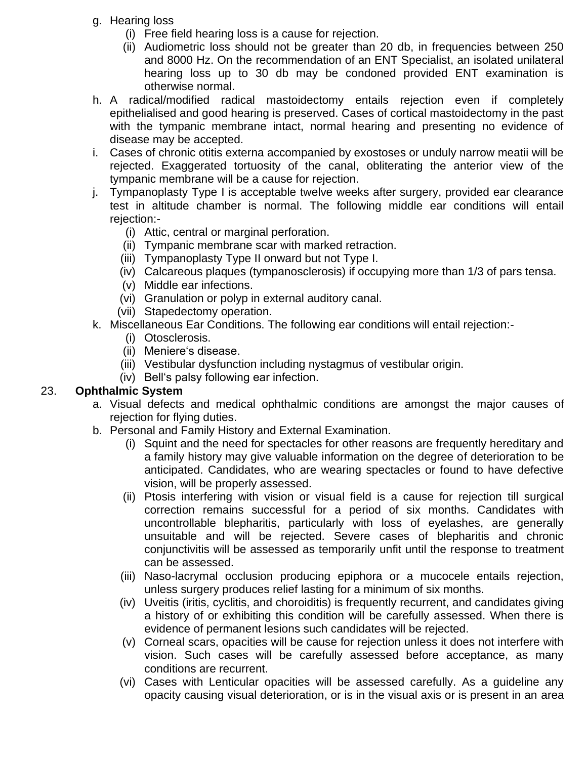- g. Hearing loss
	- (i) Free field hearing loss is a cause for rejection.
	- (ii) Audiometric loss should not be greater than 20 db, in frequencies between 250 and 8000 Hz. On the recommendation of an ENT Specialist, an isolated unilateral hearing loss up to 30 db may be condoned provided ENT examination is otherwise normal.
- h. A radical/modified radical mastoidectomy entails rejection even if completely epithelialised and good hearing is preserved. Cases of cortical mastoidectomy in the past with the tympanic membrane intact, normal hearing and presenting no evidence of disease may be accepted.
- i. Cases of chronic otitis externa accompanied by exostoses or unduly narrow meatii will be rejected. Exaggerated tortuosity of the canal, obliterating the anterior view of the tympanic membrane will be a cause for rejection.
- j. Tympanoplasty Type I is acceptable twelve weeks after surgery, provided ear clearance test in altitude chamber is normal. The following middle ear conditions will entail rejection:-
	- (i) Attic, central or marginal perforation.
	- (ii) Tympanic membrane scar with marked retraction.
	- (iii) Tympanoplasty Type II onward but not Type I.
	- (iv) Calcareous plaques (tympanosclerosis) if occupying more than 1/3 of pars tensa.
	- (v) Middle ear infections.
	- (vi) Granulation or polyp in external auditory canal.
	- (vii) Stapedectomy operation.
- k. Miscellaneous Ear Conditions. The following ear conditions will entail rejection:-
	- (i) Otosclerosis.
	- (ii) Meniere's disease.
	- (iii) Vestibular dysfunction including nystagmus of vestibular origin.
	- (iv) Bell's palsy following ear infection.

## 23. **Ophthalmic System**

- a. Visual defects and medical ophthalmic conditions are amongst the major causes of rejection for flying duties.
- b. Personal and Family History and External Examination.
	- (i) Squint and the need for spectacles for other reasons are frequently hereditary and a family history may give valuable information on the degree of deterioration to be anticipated. Candidates, who are wearing spectacles or found to have defective vision, will be properly assessed.
	- (ii) Ptosis interfering with vision or visual field is a cause for rejection till surgical correction remains successful for a period of six months. Candidates with uncontrollable blepharitis, particularly with loss of eyelashes, are generally unsuitable and will be rejected. Severe cases of blepharitis and chronic conjunctivitis will be assessed as temporarily unfit until the response to treatment can be assessed.
	- (iii) Naso-lacrymal occlusion producing epiphora or a mucocele entails rejection, unless surgery produces relief lasting for a minimum of six months.
	- (iv) Uveitis (iritis, cyclitis, and choroiditis) is frequently recurrent, and candidates giving a history of or exhibiting this condition will be carefully assessed. When there is evidence of permanent lesions such candidates will be rejected.
	- (v) Corneal scars, opacities will be cause for rejection unless it does not interfere with vision. Such cases will be carefully assessed before acceptance, as many conditions are recurrent.
	- (vi) Cases with Lenticular opacities will be assessed carefully. As a guideline any opacity causing visual deterioration, or is in the visual axis or is present in an area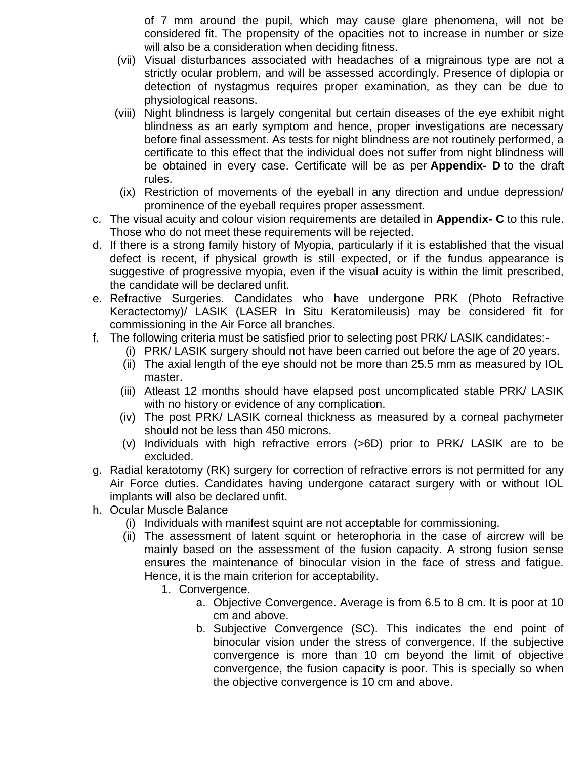of 7 mm around the pupil, which may cause glare phenomena, will not be considered fit. The propensity of the opacities not to increase in number or size will also be a consideration when deciding fitness.

- (vii) Visual disturbances associated with headaches of a migrainous type are not a strictly ocular problem, and will be assessed accordingly. Presence of diplopia or detection of nystagmus requires proper examination, as they can be due to physiological reasons.
- (viii) Night blindness is largely congenital but certain diseases of the eye exhibit night blindness as an early symptom and hence, proper investigations are necessary before final assessment. As tests for night blindness are not routinely performed, a certificate to this effect that the individual does not suffer from night blindness will be obtained in every case. Certificate will be as per **Appendix- D** to the draft rules.
- (ix) Restriction of movements of the eyeball in any direction and undue depression/ prominence of the eyeball requires proper assessment.
- c. The visual acuity and colour vision requirements are detailed in **Appendix- C** to this rule. Those who do not meet these requirements will be rejected.
- d. If there is a strong family history of Myopia, particularly if it is established that the visual defect is recent, if physical growth is still expected, or if the fundus appearance is suggestive of progressive myopia, even if the visual acuity is within the limit prescribed, the candidate will be declared unfit.
- e. Refractive Surgeries. Candidates who have undergone PRK (Photo Refractive Keractectomy)/ LASIK (LASER In Situ Keratomileusis) may be considered fit for commissioning in the Air Force all branches.
- f. The following criteria must be satisfied prior to selecting post PRK/ LASIK candidates:-
	- (i) PRK/ LASIK surgery should not have been carried out before the age of 20 years.
	- (ii) The axial length of the eye should not be more than 25.5 mm as measured by IOL master.
	- (iii) Atleast 12 months should have elapsed post uncomplicated stable PRK/ LASIK with no history or evidence of any complication.
	- (iv) The post PRK/ LASIK corneal thickness as measured by a corneal pachymeter should not be less than 450 microns.
	- (v) Individuals with high refractive errors (>6D) prior to PRK/ LASIK are to be excluded.
- g. Radial keratotomy (RK) surgery for correction of refractive errors is not permitted for any Air Force duties. Candidates having undergone cataract surgery with or without IOL implants will also be declared unfit.
- h. Ocular Muscle Balance
	- (i) Individuals with manifest squint are not acceptable for commissioning.
	- (ii) The assessment of latent squint or heterophoria in the case of aircrew will be mainly based on the assessment of the fusion capacity. A strong fusion sense ensures the maintenance of binocular vision in the face of stress and fatigue. Hence, it is the main criterion for acceptability.
		- 1. Convergence.
			- a. Objective Convergence. Average is from 6.5 to 8 cm. It is poor at 10 cm and above.
			- b. Subjective Convergence (SC). This indicates the end point of binocular vision under the stress of convergence. If the subjective convergence is more than 10 cm beyond the limit of objective convergence, the fusion capacity is poor. This is specially so when the objective convergence is 10 cm and above.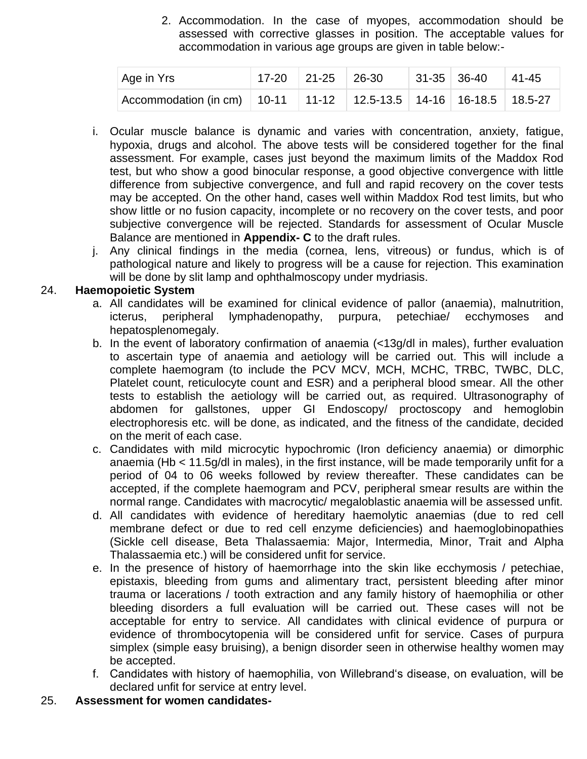2. Accommodation. In the case of myopes, accommodation should be assessed with corrective glasses in position. The acceptable values for accommodation in various age groups are given in table below:-

| Age in Yrs                                                                    | $17-20$ 21-25 26-30 |  | $ 31-35 36-40 41-45$ |  |
|-------------------------------------------------------------------------------|---------------------|--|----------------------|--|
| Accommodation (in cm)   10-11   11-12   12.5-13.5   14-16   16-18.5   18.5-27 |                     |  |                      |  |

- i. Ocular muscle balance is dynamic and varies with concentration, anxiety, fatigue, hypoxia, drugs and alcohol. The above tests will be considered together for the final assessment. For example, cases just beyond the maximum limits of the Maddox Rod test, but who show a good binocular response, a good objective convergence with little difference from subjective convergence, and full and rapid recovery on the cover tests may be accepted. On the other hand, cases well within Maddox Rod test limits, but who show little or no fusion capacity, incomplete or no recovery on the cover tests, and poor subjective convergence will be rejected. Standards for assessment of Ocular Muscle Balance are mentioned in **Appendix- C** to the draft rules.
- j. Any clinical findings in the media (cornea, lens, vitreous) or fundus, which is of pathological nature and likely to progress will be a cause for rejection. This examination will be done by slit lamp and ophthalmoscopy under mydriasis.

#### 24. **Haemopoietic System**

- a. All candidates will be examined for clinical evidence of pallor (anaemia), malnutrition, icterus, peripheral lymphadenopathy, purpura, petechiae/ ecchymoses and hepatosplenomegaly.
- b. In the event of laboratory confirmation of anaemia (<13g/dl in males), further evaluation to ascertain type of anaemia and aetiology will be carried out. This will include a complete haemogram (to include the PCV MCV, MCH, MCHC, TRBC, TWBC, DLC, Platelet count, reticulocyte count and ESR) and a peripheral blood smear. All the other tests to establish the aetiology will be carried out, as required. Ultrasonography of abdomen for gallstones, upper GI Endoscopy/ proctoscopy and hemoglobin electrophoresis etc. will be done, as indicated, and the fitness of the candidate, decided on the merit of each case.
- c. Candidates with mild microcytic hypochromic (Iron deficiency anaemia) or dimorphic anaemia (Hb < 11.5g/dl in males), in the first instance, will be made temporarily unfit for a period of 04 to 06 weeks followed by review thereafter. These candidates can be accepted, if the complete haemogram and PCV, peripheral smear results are within the normal range. Candidates with macrocytic/ megaloblastic anaemia will be assessed unfit.
- d. All candidates with evidence of hereditary haemolytic anaemias (due to red cell membrane defect or due to red cell enzyme deficiencies) and haemoglobinopathies (Sickle cell disease, Beta Thalassaemia: Major, Intermedia, Minor, Trait and Alpha Thalassaemia etc.) will be considered unfit for service.
- e. In the presence of history of haemorrhage into the skin like ecchymosis / petechiae, epistaxis, bleeding from gums and alimentary tract, persistent bleeding after minor trauma or lacerations / tooth extraction and any family history of haemophilia or other bleeding disorders a full evaluation will be carried out. These cases will not be acceptable for entry to service. All candidates with clinical evidence of purpura or evidence of thrombocytopenia will be considered unfit for service. Cases of purpura simplex (simple easy bruising), a benign disorder seen in otherwise healthy women may be accepted.
- f. Candidates with history of haemophilia, von Willebrand's disease, on evaluation, will be declared unfit for service at entry level.
- 25. **Assessment for women candidates-**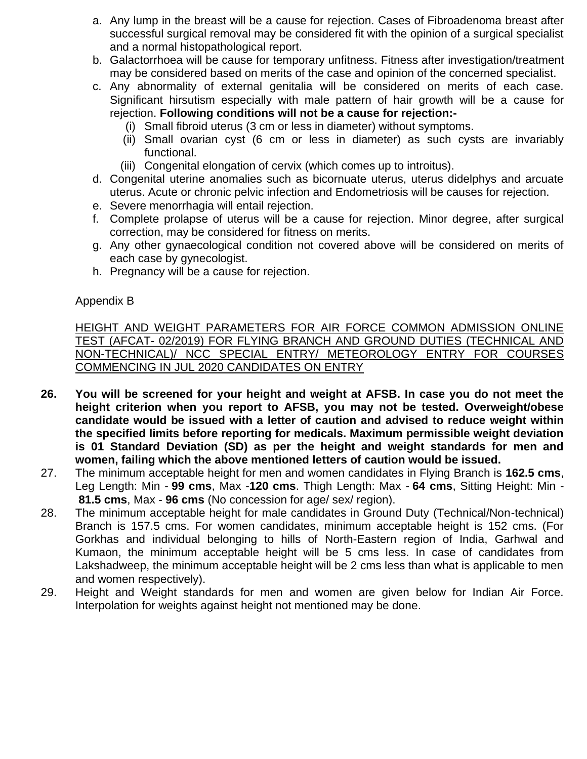- a. Any lump in the breast will be a cause for rejection. Cases of Fibroadenoma breast after successful surgical removal may be considered fit with the opinion of a surgical specialist and a normal histopathological report.
- b. Galactorrhoea will be cause for temporary unfitness. Fitness after investigation/treatment may be considered based on merits of the case and opinion of the concerned specialist.
- c. Any abnormality of external genitalia will be considered on merits of each case. Significant hirsutism especially with male pattern of hair growth will be a cause for rejection. **Following conditions will not be a cause for rejection:-**
	- (i) Small fibroid uterus (3 cm or less in diameter) without symptoms.
	- (ii) Small ovarian cyst (6 cm or less in diameter) as such cysts are invariably functional.
	- (iii) Congenital elongation of cervix (which comes up to introitus).
- d. Congenital uterine anomalies such as bicornuate uterus, uterus didelphys and arcuate uterus. Acute or chronic pelvic infection and Endometriosis will be causes for rejection.
- e. Severe menorrhagia will entail rejection.
- f. Complete prolapse of uterus will be a cause for rejection. Minor degree, after surgical correction, may be considered for fitness on merits.
- g. Any other gynaecological condition not covered above will be considered on merits of each case by gynecologist.
- h. Pregnancy will be a cause for rejection.

#### Appendix B

HEIGHT AND WEIGHT PARAMETERS FOR AIR FORCE COMMON ADMISSION ONLINE TEST (AFCAT- 02/2019) FOR FLYING BRANCH AND GROUND DUTIES (TECHNICAL AND NON-TECHNICAL)/ NCC SPECIAL ENTRY/ METEOROLOGY ENTRY FOR COURSES COMMENCING IN JUL 2020 CANDIDATES ON ENTRY

- **26. You will be screened for your height and weight at AFSB. In case you do not meet the height criterion when you report to AFSB, you may not be tested. Overweight/obese candidate would be issued with a letter of caution and advised to reduce weight within the specified limits before reporting for medicals. Maximum permissible weight deviation is 01 Standard Deviation (SD) as per the height and weight standards for men and women, failing which the above mentioned letters of caution would be issued.**
- 27. The minimum acceptable height for men and women candidates in Flying Branch is **162.5 cms**, Leg Length: Min - **99 cms**, Max -**120 cms**. Thigh Length: Max - **64 cms**, Sitting Height: Min - **81.5 cms**, Max - **96 cms** (No concession for age/ sex/ region).
- 28. The minimum acceptable height for male candidates in Ground Duty (Technical/Non-technical) Branch is 157.5 cms. For women candidates, minimum acceptable height is 152 cms. (For Gorkhas and individual belonging to hills of North-Eastern region of India, Garhwal and Kumaon, the minimum acceptable height will be 5 cms less. In case of candidates from Lakshadweep, the minimum acceptable height will be 2 cms less than what is applicable to men and women respectively).
- 29. Height and Weight standards for men and women are given below for Indian Air Force. Interpolation for weights against height not mentioned may be done.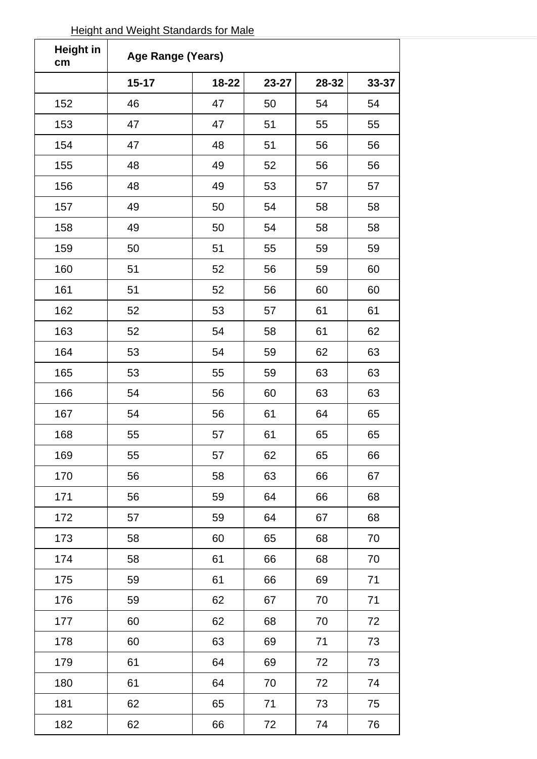| <b>Height in</b><br>cm | Age Range (Years) |       |       |       |       |  |
|------------------------|-------------------|-------|-------|-------|-------|--|
|                        | $15 - 17$         | 18-22 | 23-27 | 28-32 | 33-37 |  |
| 152                    | 46                | 47    | 50    | 54    | 54    |  |
| 153                    | 47                | 47    | 51    | 55    | 55    |  |
| 154                    | 47                | 48    | 51    | 56    | 56    |  |
| 155                    | 48                | 49    | 52    | 56    | 56    |  |
| 156                    | 48                | 49    | 53    | 57    | 57    |  |
| 157                    | 49                | 50    | 54    | 58    | 58    |  |
| 158                    | 49                | 50    | 54    | 58    | 58    |  |
| 159                    | 50                | 51    | 55    | 59    | 59    |  |
| 160                    | 51                | 52    | 56    | 59    | 60    |  |
| 161                    | 51                | 52    | 56    | 60    | 60    |  |
| 162                    | 52                | 53    | 57    | 61    | 61    |  |
| 163                    | 52                | 54    | 58    | 61    | 62    |  |
| 164                    | 53                | 54    | 59    | 62    | 63    |  |
| 165                    | 53                | 55    | 59    | 63    | 63    |  |
| 166                    | 54                | 56    | 60    | 63    | 63    |  |
| 167                    | 54                | 56    | 61    | 64    | 65    |  |
| 168                    | 55                | 57    | 61    | 65    | 65    |  |
| 169                    | 55                | 57    | 62    | 65    | 66    |  |
| 170                    | 56                | 58    | 63    | 66    | 67    |  |
| 171                    | 56                | 59    | 64    | 66    | 68    |  |
| 172                    | 57                | 59    | 64    | 67    | 68    |  |
| 173                    | 58                | 60    | 65    | 68    | 70    |  |
| 174                    | 58                | 61    | 66    | 68    | 70    |  |
| 175                    | 59                | 61    | 66    | 69    | 71    |  |
| 176                    | 59                | 62    | 67    | 70    | 71    |  |
| 177                    | 60                | 62    | 68    | 70    | 72    |  |
| 178                    | 60                | 63    | 69    | 71    | 73    |  |
| 179                    | 61                | 64    | 69    | 72    | 73    |  |
| 180                    | 61                | 64    | 70    | 72    | 74    |  |
| 181                    | 62                | 65    | 71    | 73    | 75    |  |
| 182                    | 62                | 66    | 72    | 74    | 76    |  |

# Height and Weight Standards for Male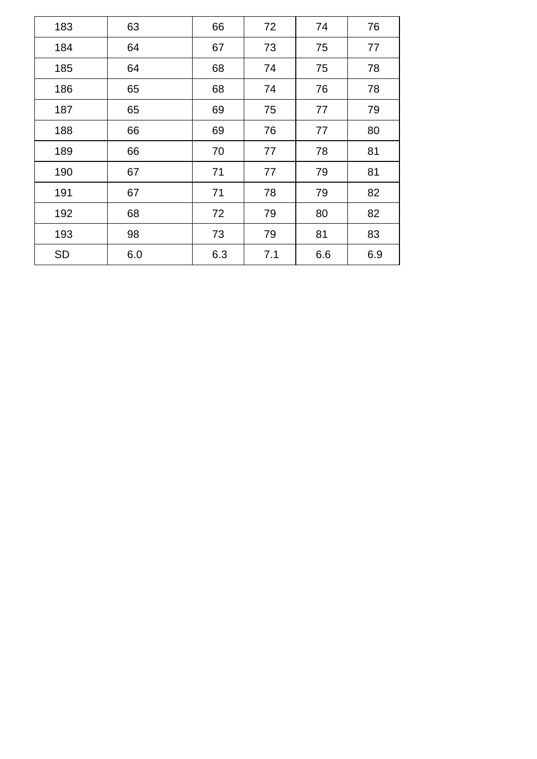| 183 | 63  | 66  | 72  | 74  | 76  |
|-----|-----|-----|-----|-----|-----|
| 184 | 64  | 67  | 73  | 75  | 77  |
| 185 | 64  | 68  | 74  | 75  | 78  |
| 186 | 65  | 68  | 74  | 76  | 78  |
| 187 | 65  | 69  | 75  | 77  | 79  |
| 188 | 66  | 69  | 76  | 77  | 80  |
| 189 | 66  | 70  | 77  | 78  | 81  |
| 190 | 67  | 71  | 77  | 79  | 81  |
| 191 | 67  | 71  | 78  | 79  | 82  |
| 192 | 68  | 72  | 79  | 80  | 82  |
| 193 | 98  | 73  | 79  | 81  | 83  |
| SD  | 6.0 | 6.3 | 7.1 | 6.6 | 6.9 |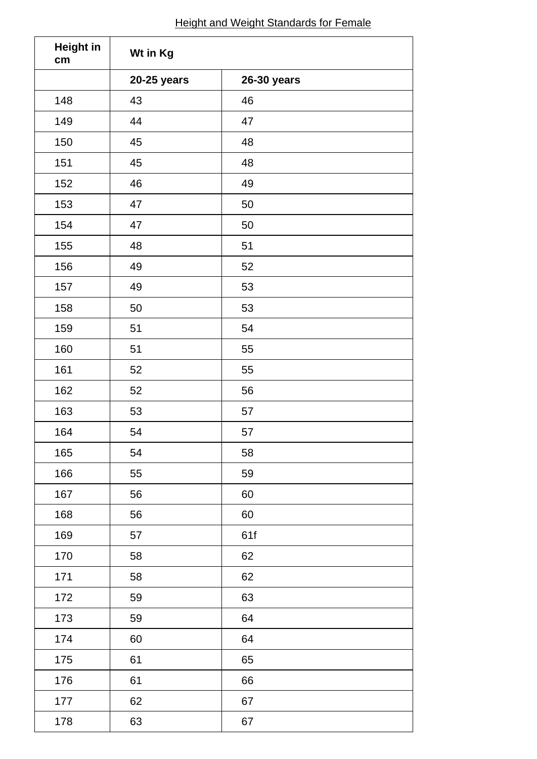# **Height and Weight Standards for Female**

| <b>Height in</b><br>cm | Wt in Kg    |             |  |
|------------------------|-------------|-------------|--|
|                        | 20-25 years | 26-30 years |  |
| 148                    | 43          | 46          |  |
| 149                    | 44          | 47          |  |
| 150                    | 45          | 48          |  |
| 151                    | 45          | 48          |  |
| 152                    | 46          | 49          |  |
| 153                    | 47          | 50          |  |
| 154                    | 47          | $50\,$      |  |
| 155                    | 48          | 51          |  |
| 156                    | 49          | 52          |  |
| 157                    | 49          | 53          |  |
| 158                    | 50          | 53          |  |
| 159                    | 51          | 54          |  |
| 160                    | 51          | 55          |  |
| 161                    | 52          | 55          |  |
| 162                    | 52          | 56          |  |
| 163                    | 53          | 57          |  |
| 164                    | 54          | 57          |  |
| 165                    | 54          | 58          |  |
| 166                    | 55          | 59          |  |
| 167                    | 56          | 60          |  |
| 168                    | 56          | 60          |  |
| 169                    | 57          | 61f         |  |
| 170                    | 58          | 62          |  |
| 171                    | 58          | 62          |  |
| 172                    | 59          | 63          |  |
| 173                    | 59          | 64          |  |
| 174                    | 60          | 64          |  |
| 175                    | 61          | 65          |  |
| 176                    | 61          | 66          |  |
| 177                    | 62          | 67          |  |
| 178                    | 63          | 67          |  |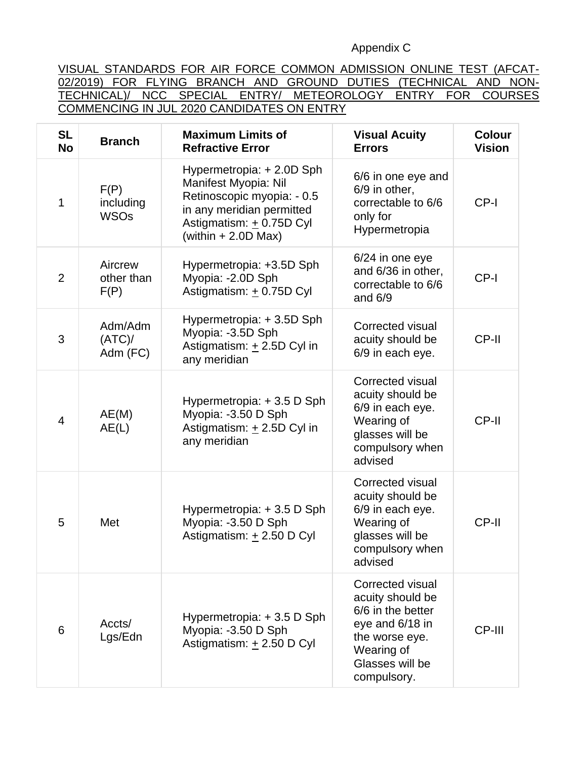## Appendix C

VISUAL STANDARDS FOR AIR FORCE COMMON ADMISSION ONLINE TEST (AFCAT-02/2019) FOR FLYING BRANCH AND GROUND DUTIES (TECHNICAL AND NON-TECHNICAL)/ NCC SPECIAL ENTRY/ METEOROLOGY ENTRY FOR COURSES COMMENCING IN JUL 2020 CANDIDATES ON ENTRY

| <b>SL</b><br><b>No</b> | <b>Branch</b>                    | <b>Maximum Limits of</b><br><b>Refractive Error</b>                                                                                                               | <b>Visual Acuity</b><br><b>Errors</b>                                                                                                          | <b>Colour</b><br><b>Vision</b> |
|------------------------|----------------------------------|-------------------------------------------------------------------------------------------------------------------------------------------------------------------|------------------------------------------------------------------------------------------------------------------------------------------------|--------------------------------|
| 1                      | F(P)<br>including<br><b>WSOs</b> | Hypermetropia: + 2.0D Sph<br>Manifest Myopia: Nil<br>Retinoscopic myopia: - 0.5<br>in any meridian permitted<br>Astigmatism: + 0.75D Cyl<br>(within $+ 2.0D$ Max) | 6/6 in one eye and<br>6/9 in other,<br>correctable to 6/6<br>only for<br>Hypermetropia                                                         | CP-I                           |
| $\overline{2}$         | Aircrew<br>other than<br>F(P)    | Hypermetropia: +3.5D Sph<br>Myopia: -2.0D Sph<br>Astigmatism: + 0.75D Cyl                                                                                         | 6/24 in one eye<br>and 6/36 in other,<br>correctable to 6/6<br>and $6/9$                                                                       | CP-I                           |
| 3                      | Adm/Adm<br>$(ATC)$ /<br>Adm (FC) | Hypermetropia: +3.5D Sph<br>Myopia: -3.5D Sph<br>Astigmatism: + 2.5D Cyl in<br>any meridian                                                                       | Corrected visual<br>acuity should be<br>6/9 in each eye.                                                                                       | CP-II                          |
| $\overline{4}$         | AE(M)<br>AE(L)                   | Hypermetropia: +3.5 D Sph<br>Myopia: -3.50 D Sph<br>Astigmatism: + 2.5D Cyl in<br>any meridian                                                                    | Corrected visual<br>acuity should be<br>6/9 in each eye.<br>Wearing of<br>glasses will be<br>compulsory when<br>advised                        | CP-II                          |
| 5                      | Met                              | Hypermetropia: +3.5 D Sph<br>Myopia: -3.50 D Sph<br>Astigmatism: +2.50 D Cyl                                                                                      | Corrected visual<br>acuity should be<br>6/9 in each eye.<br>Wearing of<br>glasses will be<br>compulsory when<br>advised                        | CP-II                          |
| 6                      | Accts/<br>Lgs/Edn                | Hypermetropia: + 3.5 D Sph<br>Myopia: -3.50 D Sph<br>Astigmatism: + 2.50 D Cyl                                                                                    | Corrected visual<br>acuity should be<br>6/6 in the better<br>eye and 6/18 in<br>the worse eye.<br>Wearing of<br>Glasses will be<br>compulsory. | CP-III                         |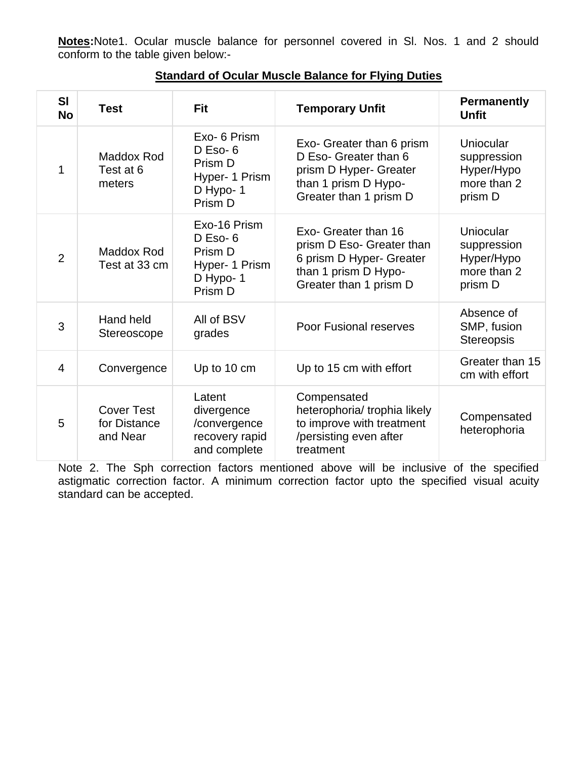**Notes:**Note1. Ocular muscle balance for personnel covered in Sl. Nos. 1 and 2 should conform to the table given below:-

| <b>SI</b><br><b>No</b> | <b>Test</b>                                   | Fit                                                                              | <b>Temporary Unfit</b>                                                                                                          | <b>Permanently</b><br><b>Unfit</b>                               |
|------------------------|-----------------------------------------------|----------------------------------------------------------------------------------|---------------------------------------------------------------------------------------------------------------------------------|------------------------------------------------------------------|
| 1                      | Maddox Rod<br>Test at 6<br>meters             | Exo- 6 Prism<br>$D$ Eso- $6$<br>Prism D<br>Hyper- 1 Prism<br>D Hypo-1<br>Prism D | Exo- Greater than 6 prism<br>D Eso- Greater than 6<br>prism D Hyper- Greater<br>than 1 prism D Hypo-<br>Greater than 1 prism D  | Uniocular<br>suppression<br>Hyper/Hypo<br>more than 2<br>prism D |
| $\overline{2}$         | Maddox Rod<br>Test at 33 cm                   | Exo-16 Prism<br>$D$ Eso- $6$<br>Prism D<br>Hyper- 1 Prism<br>D Hypo-1<br>Prism D | Exo- Greater than 16<br>prism D Eso- Greater than<br>6 prism D Hyper- Greater<br>than 1 prism D Hypo-<br>Greater than 1 prism D | Uniocular<br>suppression<br>Hyper/Hypo<br>more than 2<br>prism D |
| 3                      | Hand held<br>Stereoscope                      | All of BSV<br>grades                                                             | <b>Poor Fusional reserves</b>                                                                                                   | Absence of<br>SMP, fusion<br>Stereopsis                          |
| $\overline{4}$         | Convergence                                   | Up to 10 cm                                                                      | Up to 15 cm with effort                                                                                                         | Greater than 15<br>cm with effort                                |
| 5                      | <b>Cover Test</b><br>for Distance<br>and Near | Latent<br>divergence<br>/convergence<br>recovery rapid<br>and complete           | Compensated<br>heterophoria/ trophia likely<br>to improve with treatment<br>/persisting even after<br>treatment                 | Compensated<br>heterophoria                                      |

## **Standard of Ocular Muscle Balance for Flying Duties**

Note 2. The Sph correction factors mentioned above will be inclusive of the specified astigmatic correction factor. A minimum correction factor upto the specified visual acuity standard can be accepted.